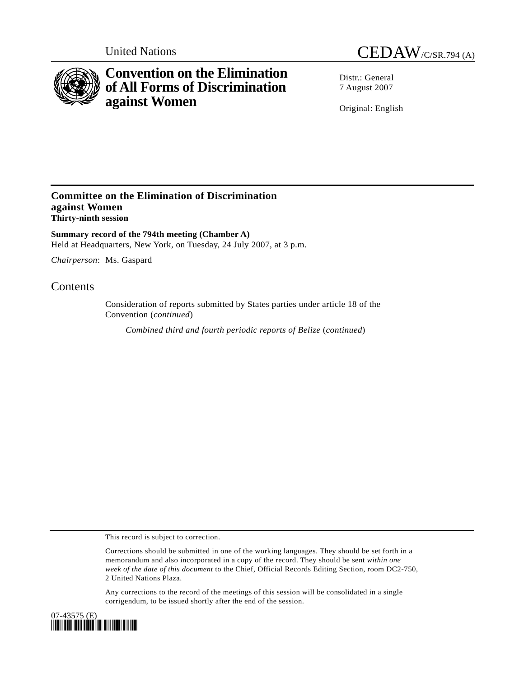

# **Convention on the Elimination of All Forms of Discrimination against Women**

United Nations CEDAW/C/SR.794 (A)

Distr · General 7 August 2007

Original: English

### **Committee on the Elimination of Discrimination against Women Thirty-ninth session**

**Summary record of the 794th meeting (Chamber A)**  Held at Headquarters, New York, on Tuesday, 24 July 2007, at 3 p.m.

*Chairperson*: Ms. Gaspard

## **Contents**

Consideration of reports submitted by States parties under article 18 of the Convention (*continued*)

*Combined third and fourth periodic reports of Belize* (*continued*)

This record is subject to correction.

Corrections should be submitted in one of the working languages. They should be set forth in a memorandum and also incorporated in a copy of the record. They should be sent *within one week of the date of this document* to the Chief, Official Records Editing Section, room DC2-750, 2 United Nations Plaza.

Any corrections to the record of the meetings of this session will be consolidated in a single corrigendum, to be issued shortly after the end of the session.

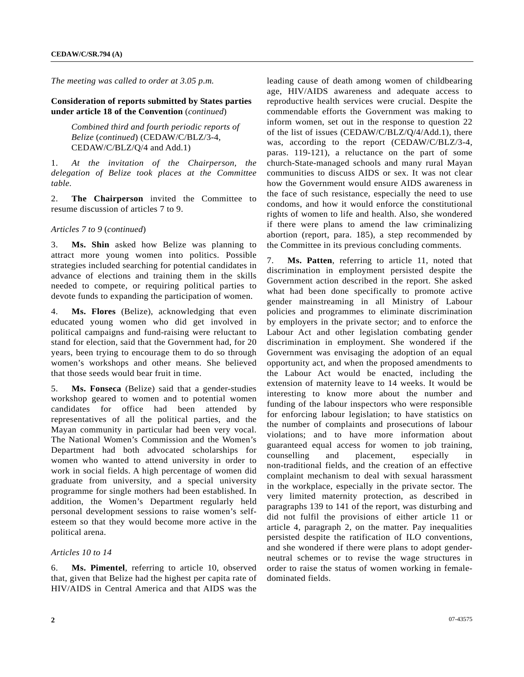*The meeting was called to order at 3.05 p.m.* 

#### **Consideration of reports submitted by States parties under article 18 of the Convention** (*continued*)

 *Combined third and fourth periodic reports of Belize* (*continued*) (CEDAW/C/BLZ/3-4, CEDAW/C/BLZ/Q/4 and Add.1)

1. *At the invitation of the Chairperson, the delegation of Belize took places at the Committee table.* 

2. **The Chairperson** invited the Committee to resume discussion of articles 7 to 9.

#### *Articles 7 to 9* (*continued*)

3. **Ms. Shin** asked how Belize was planning to attract more young women into politics. Possible strategies included searching for potential candidates in advance of elections and training them in the skills needed to compete, or requiring political parties to devote funds to expanding the participation of women.

4. **Ms. Flores** (Belize), acknowledging that even educated young women who did get involved in political campaigns and fund-raising were reluctant to stand for election, said that the Government had, for 20 years, been trying to encourage them to do so through women's workshops and other means. She believed that those seeds would bear fruit in time.

5. **Ms. Fonseca** (Belize) said that a gender-studies workshop geared to women and to potential women candidates for office had been attended by representatives of all the political parties, and the Mayan community in particular had been very vocal. The National Women's Commission and the Women's Department had both advocated scholarships for women who wanted to attend university in order to work in social fields. A high percentage of women did graduate from university, and a special university programme for single mothers had been established. In addition, the Women's Department regularly held personal development sessions to raise women's selfesteem so that they would become more active in the political arena.

#### *Articles 10 to 14*

6. **Ms. Pimentel**, referring to article 10, observed that, given that Belize had the highest per capita rate of HIV/AIDS in Central America and that AIDS was the

leading cause of death among women of childbearing age, HIV/AIDS awareness and adequate access to reproductive health services were crucial. Despite the commendable efforts the Government was making to inform women, set out in the response to question 22 of the list of issues (CEDAW/C/BLZ/Q/4/Add.1), there was, according to the report (CEDAW/C/BLZ/3-4, paras. 119-121), a reluctance on the part of some church-State-managed schools and many rural Mayan communities to discuss AIDS or sex. It was not clear how the Government would ensure AIDS awareness in the face of such resistance, especially the need to use condoms, and how it would enforce the constitutional rights of women to life and health. Also, she wondered if there were plans to amend the law criminalizing abortion (report, para. 185), a step recommended by the Committee in its previous concluding comments.

7. **Ms. Patten**, referring to article 11, noted that discrimination in employment persisted despite the Government action described in the report. She asked what had been done specifically to promote active gender mainstreaming in all Ministry of Labour policies and programmes to eliminate discrimination by employers in the private sector; and to enforce the Labour Act and other legislation combating gender discrimination in employment. She wondered if the Government was envisaging the adoption of an equal opportunity act, and when the proposed amendments to the Labour Act would be enacted, including the extension of maternity leave to 14 weeks. It would be interesting to know more about the number and funding of the labour inspectors who were responsible for enforcing labour legislation; to have statistics on the number of complaints and prosecutions of labour violations; and to have more information about guaranteed equal access for women to job training, counselling and placement, especially in non-traditional fields, and the creation of an effective complaint mechanism to deal with sexual harassment in the workplace, especially in the private sector. The very limited maternity protection, as described in paragraphs 139 to 141 of the report, was disturbing and did not fulfil the provisions of either article 11 or article 4, paragraph 2, on the matter. Pay inequalities persisted despite the ratification of ILO conventions, and she wondered if there were plans to adopt genderneutral schemes or to revise the wage structures in order to raise the status of women working in femaledominated fields.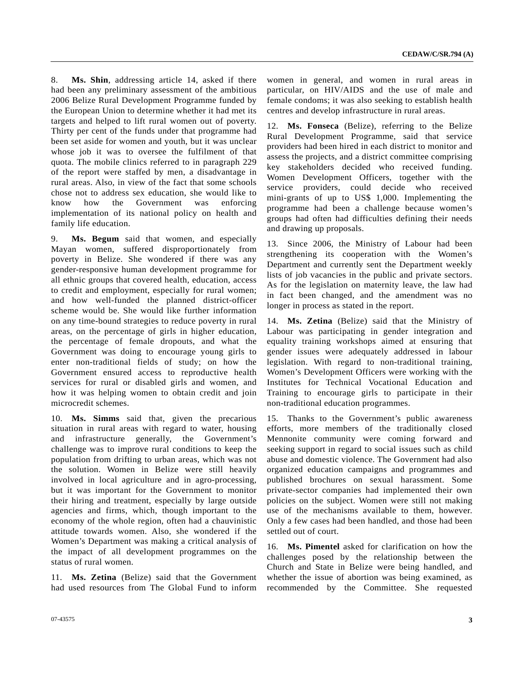8. **Ms. Shin**, addressing article 14, asked if there had been any preliminary assessment of the ambitious 2006 Belize Rural Development Programme funded by the European Union to determine whether it had met its targets and helped to lift rural women out of poverty. Thirty per cent of the funds under that programme had been set aside for women and youth, but it was unclear whose job it was to oversee the fulfilment of that quota. The mobile clinics referred to in paragraph 229 of the report were staffed by men, a disadvantage in rural areas. Also, in view of the fact that some schools chose not to address sex education, she would like to know how the Government was enforcing implementation of its national policy on health and family life education.

9. **Ms. Begum** said that women, and especially Mayan women, suffered disproportionately from poverty in Belize. She wondered if there was any gender-responsive human development programme for all ethnic groups that covered health, education, access to credit and employment, especially for rural women; and how well-funded the planned district-officer scheme would be. She would like further information on any time-bound strategies to reduce poverty in rural areas, on the percentage of girls in higher education, the percentage of female dropouts, and what the Government was doing to encourage young girls to enter non-traditional fields of study; on how the Government ensured access to reproductive health services for rural or disabled girls and women, and how it was helping women to obtain credit and join microcredit schemes.

10. **Ms. Simms** said that, given the precarious situation in rural areas with regard to water, housing and infrastructure generally, the Government's challenge was to improve rural conditions to keep the population from drifting to urban areas, which was not the solution. Women in Belize were still heavily involved in local agriculture and in agro-processing, but it was important for the Government to monitor their hiring and treatment, especially by large outside agencies and firms, which, though important to the economy of the whole region, often had a chauvinistic attitude towards women. Also, she wondered if the Women's Department was making a critical analysis of the impact of all development programmes on the status of rural women.

11. **Ms. Zetina** (Belize) said that the Government had used resources from The Global Fund to inform

women in general, and women in rural areas in particular, on HIV/AIDS and the use of male and female condoms; it was also seeking to establish health centres and develop infrastructure in rural areas.

12. **Ms. Fonseca** (Belize), referring to the Belize Rural Development Programme, said that service providers had been hired in each district to monitor and assess the projects, and a district committee comprising key stakeholders decided who received funding. Women Development Officers, together with the service providers, could decide who received mini-grants of up to US\$ 1,000. Implementing the programme had been a challenge because women's groups had often had difficulties defining their needs and drawing up proposals.

13. Since 2006, the Ministry of Labour had been strengthening its cooperation with the Women's Department and currently sent the Department weekly lists of job vacancies in the public and private sectors. As for the legislation on maternity leave, the law had in fact been changed, and the amendment was no longer in process as stated in the report.

14. **Ms. Zetina** (Belize) said that the Ministry of Labour was participating in gender integration and equality training workshops aimed at ensuring that gender issues were adequately addressed in labour legislation. With regard to non-traditional training, Women's Development Officers were working with the Institutes for Technical Vocational Education and Training to encourage girls to participate in their non-traditional education programmes.

15. Thanks to the Government's public awareness efforts, more members of the traditionally closed Mennonite community were coming forward and seeking support in regard to social issues such as child abuse and domestic violence. The Government had also organized education campaigns and programmes and published brochures on sexual harassment. Some private-sector companies had implemented their own policies on the subject. Women were still not making use of the mechanisms available to them, however. Only a few cases had been handled, and those had been settled out of court.

16. **Ms. Pimentel** asked for clarification on how the challenges posed by the relationship between the Church and State in Belize were being handled, and whether the issue of abortion was being examined, as recommended by the Committee. She requested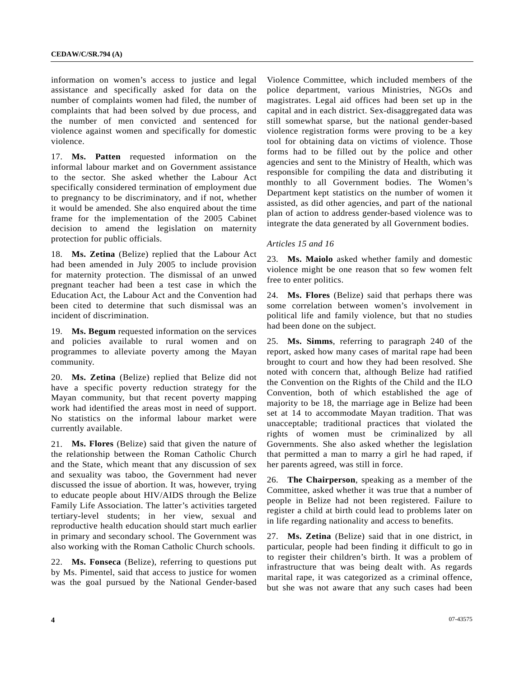information on women's access to justice and legal assistance and specifically asked for data on the number of complaints women had filed, the number of complaints that had been solved by due process, and the number of men convicted and sentenced for violence against women and specifically for domestic violence.

17. **Ms. Patten** requested information on the informal labour market and on Government assistance to the sector. She asked whether the Labour Act specifically considered termination of employment due to pregnancy to be discriminatory, and if not, whether it would be amended. She also enquired about the time frame for the implementation of the 2005 Cabinet decision to amend the legislation on maternity protection for public officials.

18. **Ms. Zetina** (Belize) replied that the Labour Act had been amended in July 2005 to include provision for maternity protection. The dismissal of an unwed pregnant teacher had been a test case in which the Education Act, the Labour Act and the Convention had been cited to determine that such dismissal was an incident of discrimination.

19. **Ms. Begum** requested information on the services and policies available to rural women and on programmes to alleviate poverty among the Mayan community.

20. **Ms. Zetina** (Belize) replied that Belize did not have a specific poverty reduction strategy for the Mayan community, but that recent poverty mapping work had identified the areas most in need of support. No statistics on the informal labour market were currently available.

21. **Ms. Flores** (Belize) said that given the nature of the relationship between the Roman Catholic Church and the State, which meant that any discussion of sex and sexuality was taboo, the Government had never discussed the issue of abortion. It was, however, trying to educate people about HIV/AIDS through the Belize Family Life Association. The latter's activities targeted tertiary-level students; in her view, sexual and reproductive health education should start much earlier in primary and secondary school. The Government was also working with the Roman Catholic Church schools.

22. **Ms. Fonseca** (Belize), referring to questions put by Ms. Pimentel, said that access to justice for women was the goal pursued by the National Gender-based Violence Committee, which included members of the police department, various Ministries, NGOs and magistrates. Legal aid offices had been set up in the capital and in each district. Sex-disaggregated data was still somewhat sparse, but the national gender-based violence registration forms were proving to be a key tool for obtaining data on victims of violence. Those forms had to be filled out by the police and other agencies and sent to the Ministry of Health, which was responsible for compiling the data and distributing it monthly to all Government bodies. The Women's Department kept statistics on the number of women it assisted, as did other agencies, and part of the national plan of action to address gender-based violence was to integrate the data generated by all Government bodies.

#### *Articles 15 and 16*

23. **Ms. Maiolo** asked whether family and domestic violence might be one reason that so few women felt free to enter politics.

24. **Ms. Flores** (Belize) said that perhaps there was some correlation between women's involvement in political life and family violence, but that no studies had been done on the subject.

25. **Ms. Simms**, referring to paragraph 240 of the report, asked how many cases of marital rape had been brought to court and how they had been resolved. She noted with concern that, although Belize had ratified the Convention on the Rights of the Child and the ILO Convention, both of which established the age of majority to be 18, the marriage age in Belize had been set at 14 to accommodate Mayan tradition. That was unacceptable; traditional practices that violated the rights of women must be criminalized by all Governments. She also asked whether the legislation that permitted a man to marry a girl he had raped, if her parents agreed, was still in force.

26. **The Chairperson**, speaking as a member of the Committee, asked whether it was true that a number of people in Belize had not been registered. Failure to register a child at birth could lead to problems later on in life regarding nationality and access to benefits.

27. **Ms. Zetina** (Belize) said that in one district, in particular, people had been finding it difficult to go in to register their children's birth. It was a problem of infrastructure that was being dealt with. As regards marital rape, it was categorized as a criminal offence, but she was not aware that any such cases had been